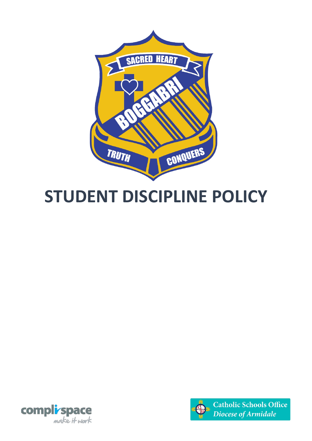

# **STUDENT DISCIPLINE POLICY**



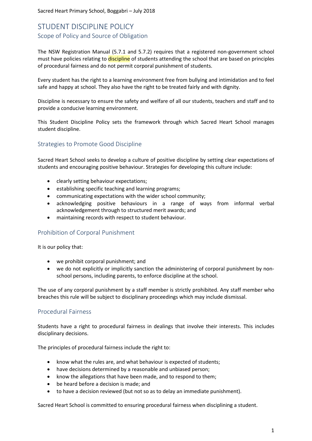Sacred Heart Primary School, Boggabri – July 2018

# STUDENT DISCIPLINE POLICY Scope of Policy and Source of Obligation

The NSW Registration Manual (5.7.1 and 5.7.2) requires that a registered non-government school must have policies relating to discipline of students attending the school that are based on principles of procedural fairness and do not permit corporal punishment of students.

Every student has the right to a learning environment free from bullying and intimidation and to feel safe and happy at school. They also have the right to be treated fairly and with dignity.

Discipline is necessary to ensure the safety and welfare of all our students, teachers and staff and to provide a conducive learning environment.

This Student Discipline Policy sets the framework through which Sacred Heart School manages student discipline.

# Strategies to Promote Good Discipline

Sacred Heart School seeks to develop a culture of positive discipline by setting clear expectations of students and encouraging positive behaviour. Strategies for developing this culture include:

- clearly setting behaviour expectations;
- establishing specific teaching and learning programs;
- communicating expectations with the wider school community;
- acknowledging positive behaviours in a range of ways from informal verbal acknowledgement through to structured merit awards; and
- maintaining records with respect to student behaviour.

# Prohibition of Corporal Punishment

It is our policy that:

- we prohibit corporal punishment; and
- we do not explicitly or implicitly sanction the administering of corporal punishment by nonschool persons, including parents, to enforce discipline at the school.

The use of any corporal punishment by a staff member is strictly prohibited. Any staff member who breaches this rule will be subject to disciplinary proceedings which may include dismissal.

#### Procedural Fairness

Students have a right to procedural fairness in dealings that involve their interests. This includes disciplinary decisions.

The principles of procedural fairness include the right to:

- know what the rules are, and what behaviour is expected of students;
- have decisions determined by a reasonable and unbiased person;
- know the allegations that have been made, and to respond to them;
- be heard before a decision is made; and
- to have a decision reviewed (but not so as to delay an immediate punishment).

Sacred Heart School is committed to ensuring procedural fairness when disciplining a student.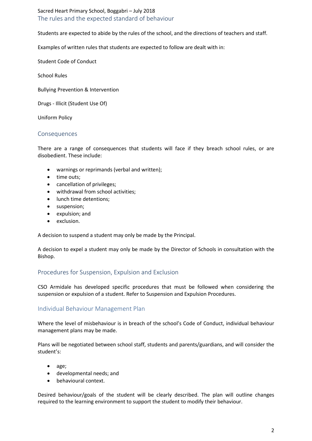Sacred Heart Primary School, Boggabri – July 2018 The rules and the expected standard of behaviour

Students are expected to abide by the rules of the school, and the directions of teachers and staff.

Examples of written rules that students are expected to follow are dealt with in:

Student Code of Conduct

School Rules

Bullying Prevention & Intervention

Drugs - Illicit (Student Use Of)

Uniform Policy

#### Consequences

There are a range of consequences that students will face if they breach school rules, or are disobedient. These include:

- warnings or reprimands (verbal and written);
- time outs;
- cancellation of privileges;
- withdrawal from school activities;
- lunch time detentions;
- suspension;
- expulsion; and
- exclusion.

A decision to suspend a student may only be made by the Principal.

A decision to expel a student may only be made by the Director of Schools in consultation with the Bishop.

# Procedures for Suspension, Expulsion and Exclusion

CSO Armidale has developed specific procedures that must be followed when considering the suspension or expulsion of a student. Refer to Suspension and Expulsion Procedures.

# Individual Behaviour Management Plan

Where the level of misbehaviour is in breach of the school's Code of Conduct, individual behaviour management plans may be made.

Plans will be negotiated between school staff, students and parents/guardians, and will consider the student's:

- age;
- developmental needs; and
- behavioural context.

Desired behaviour/goals of the student will be clearly described. The plan will outline changes required to the learning environment to support the student to modify their behaviour.